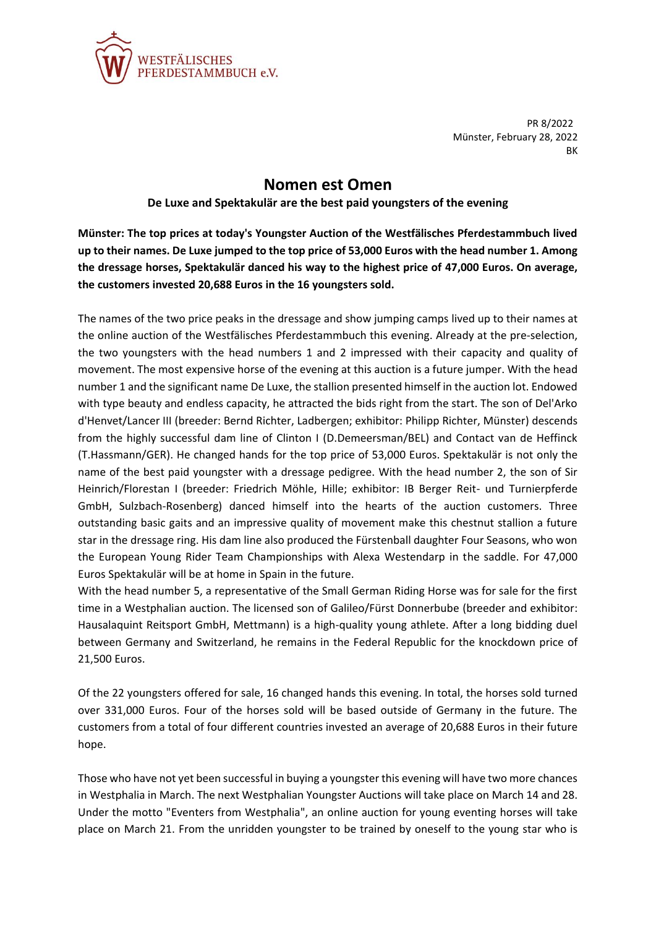

PR 8/2022 Münster, February 28, 2022 BK

## **Nomen est Omen**

## **De Luxe and Spektakulär are the best paid youngsters of the evening**

**Münster: The top prices at today's Youngster Auction of the Westfälisches Pferdestammbuch lived up to their names. De Luxe jumped to the top price of 53,000 Euros with the head number 1. Among the dressage horses, Spektakulär danced his way to the highest price of 47,000 Euros. On average, the customers invested 20,688 Euros in the 16 youngsters sold.**

The names of the two price peaks in the dressage and show jumping camps lived up to their names at the online auction of the Westfälisches Pferdestammbuch this evening. Already at the pre-selection, the two youngsters with the head numbers 1 and 2 impressed with their capacity and quality of movement. The most expensive horse of the evening at this auction is a future jumper. With the head number 1 and the significant name De Luxe, the stallion presented himself in the auction lot. Endowed with type beauty and endless capacity, he attracted the bids right from the start. The son of Del'Arko d'Henvet/Lancer III (breeder: Bernd Richter, Ladbergen; exhibitor: Philipp Richter, Münster) descends from the highly successful dam line of Clinton I (D.Demeersman/BEL) and Contact van de Heffinck (T.Hassmann/GER). He changed hands for the top price of 53,000 Euros. Spektakulär is not only the name of the best paid youngster with a dressage pedigree. With the head number 2, the son of Sir Heinrich/Florestan I (breeder: Friedrich Möhle, Hille; exhibitor: IB Berger Reit- und Turnierpferde GmbH, Sulzbach-Rosenberg) danced himself into the hearts of the auction customers. Three outstanding basic gaits and an impressive quality of movement make this chestnut stallion a future star in the dressage ring. His dam line also produced the Fürstenball daughter Four Seasons, who won the European Young Rider Team Championships with Alexa Westendarp in the saddle. For 47,000 Euros Spektakulär will be at home in Spain in the future.

With the head number 5, a representative of the Small German Riding Horse was for sale for the first time in a Westphalian auction. The licensed son of Galileo/Fürst Donnerbube (breeder and exhibitor: Hausalaquint Reitsport GmbH, Mettmann) is a high-quality young athlete. After a long bidding duel between Germany and Switzerland, he remains in the Federal Republic for the knockdown price of 21,500 Euros.

Of the 22 youngsters offered for sale, 16 changed hands this evening. In total, the horses sold turned over 331,000 Euros. Four of the horses sold will be based outside of Germany in the future. The customers from a total of four different countries invested an average of 20,688 Euros in their future hope.

Those who have not yet been successful in buying a youngster this evening will have two more chances in Westphalia in March. The next Westphalian Youngster Auctions will take place on March 14 and 28. Under the motto "Eventers from Westphalia", an online auction for young eventing horses will take place on March 21. From the unridden youngster to be trained by oneself to the young star who is